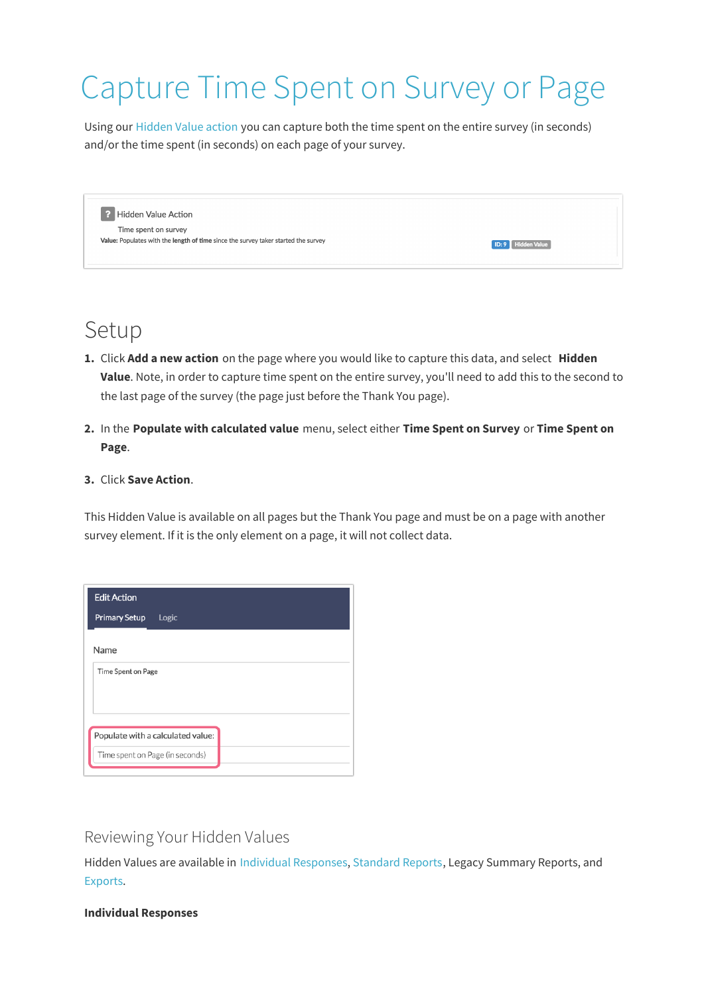# Capture Time Spent on Survey or Page

Using our Hidden Value action you can capture both the time spent on the entire survey (in seconds) and/or the time spent (in seconds) on each page of your survey.

2 Hidden Value Action Time spent on survey Value: Populates with the length of time since the survey taker started the survey

# Setup

**1.** Click **Add a new action** on the page where you would like to capture this data, and select **Hidden Value**. Note, in order to capture time spent on the entire survey, you'll need to add this to the second to the last page of the survey (the page just before the Thank You page).

**ID: 9** Hidden Value

**2.** In the **Populate with calculated value** menu, select either **Time Spent on Survey** or **Time Spent on Page**.

#### **3.** Click **Save Action**.

This Hidden Value is available on all pages but the Thank You page and must be on a page with another survey element. If it is the only element on a page, it will not collect data.

| <b>Edit Action</b>                |
|-----------------------------------|
| <b>Primary Setup</b><br>Logic     |
| Name                              |
| Time Spent on Page                |
|                                   |
|                                   |
| Populate with a calculated value: |
| Time spent on Page (in seconds)   |

### Reviewing Your Hidden Values

Hidden Values are available in Individual Responses, Standard Reports, Legacy Summary Reports, and Exports.

#### **Individual Responses**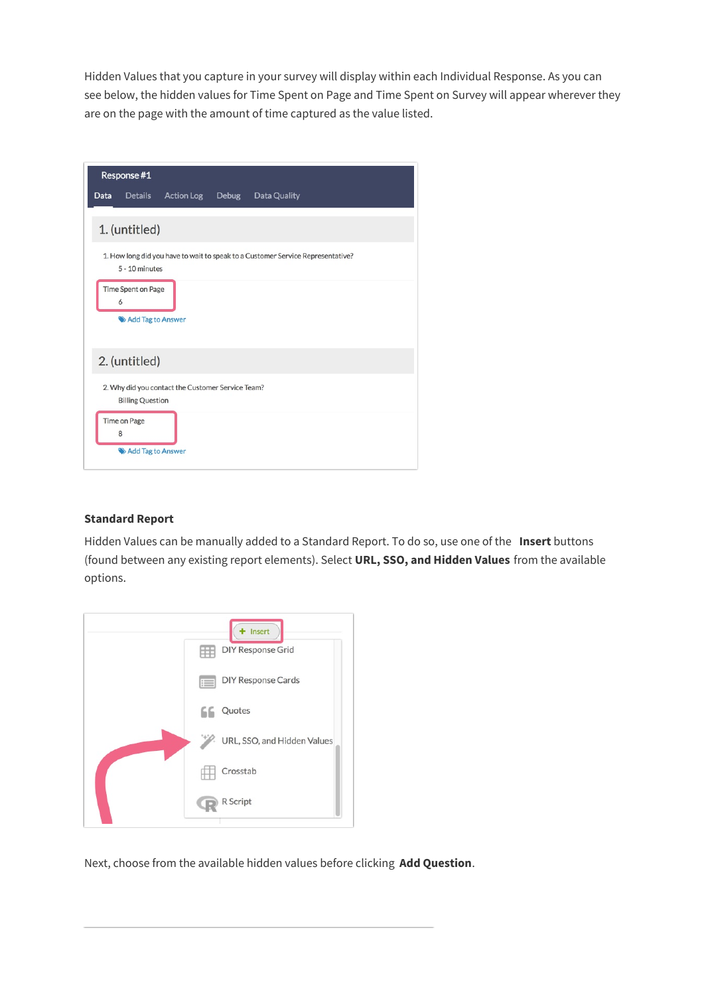Hidden Values that you capture in your survey will display within each Individual Response. As you can see below, the hidden values for Time Spent on Page and Time Spent on Survey will appear wherever they are on the page with the amount of time captured as the value listed.

|      | Response #1                                  |                                                   |       |                                                                                 |  |
|------|----------------------------------------------|---------------------------------------------------|-------|---------------------------------------------------------------------------------|--|
| Data | <b>Details</b>                               | <b>Action Log</b>                                 | Debug | Data Quality                                                                    |  |
|      | 1. (untitled)                                |                                                   |       |                                                                                 |  |
|      | 5 - 10 minutes                               |                                                   |       | 1. How long did you have to wait to speak to a Customer Service Representative? |  |
|      | Time Spent on Page<br>6<br>Add Tag to Answer |                                                   |       |                                                                                 |  |
|      | 2. (untitled)                                |                                                   |       |                                                                                 |  |
|      | <b>Billing Question</b>                      | 2. Why did you contact the Customer Service Team? |       |                                                                                 |  |
|      | Time on Page<br>8                            |                                                   |       |                                                                                 |  |
|      | Add Tag to Answer                            |                                                   |       |                                                                                 |  |

#### **Standard Report**

Hidden Values can be manually added to a Standard Report. To do so, use one of the **Insert** buttons (found between any existing report elements). Select **URL, SSO, and Hidden Values** from the available options.

| Insert<br><b>DIY Response Grid</b>                         |
|------------------------------------------------------------|
| <b>DIY Response Cards</b><br>$\left\vert \cdot\right\vert$ |
| Quotes                                                     |
| URL, SSO, and Hidden Values<br>'n.                         |
| Crosstab                                                   |
| R Script                                                   |

Next, choose from the available hidden values before clicking **Add Question**.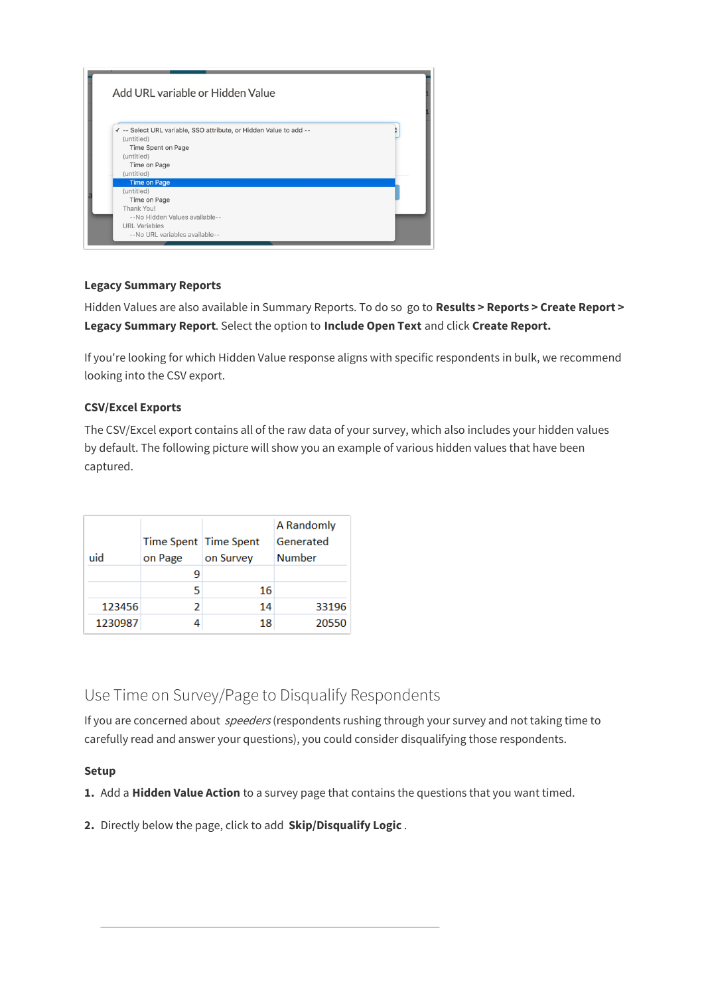

#### **Legacy Summary Reports**

Hidden Values are also available in Summary Reports. To do so go to **Results > Reports > Create Report > Legacy Summary Report**. Select the option to **Include Open Text** and click **Create Report.**

If you're looking for which Hidden Value response aligns with specific respondents in bulk, we recommend looking into the CSV export.

#### **CSV/Excel Exports**

The CSV/Excel export contains all of the raw data of your survey, which also includes your hidden values by default. The following picture will show you an example of various hidden values that have been captured.

|         |                       |           | A Randomly    |
|---------|-----------------------|-----------|---------------|
|         | Time Spent Time Spent |           | Generated     |
| uid     | on Page               | on Survey | <b>Number</b> |
|         |                       |           |               |
|         | 5                     | 16        |               |
| 123456  | 2                     | 14        | 33196         |
| 1230987 |                       | 18        | 20550         |

## Use Time on Survey/Page to Disqualify Respondents

If you are concerned about *speeders* (respondents rushing through your survey and not taking time to carefully read and answer your questions), you could consider disqualifying those respondents.

#### **Setup**

**1.** Add a **Hidden Value Action** to a survey page that contains the questions that you want timed.

**2.** Directly below the page, click to add **Skip/Disqualify Logic** .